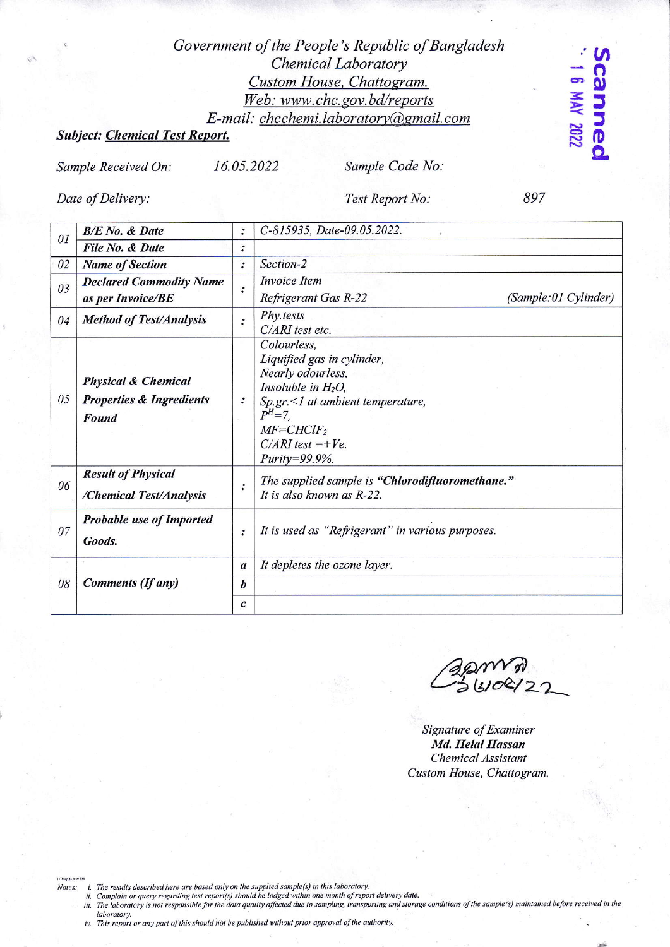## Government of the People's Republic of Bangladesh Chemical Laboratory Custom House, Chattogram. Web: www.chc.gov.bd/reports E-mail: chcchemi.laboratory@gmail.com

## **Subject: Chemical Test Report.**

Sample Received On:

16.05.2022

Sample Code No:

Date of Delivery:

Test Report No:

897

canne 8 MAY 2022

| 0 <sub>I</sub> | <b>B/E</b> No. & Date                                                          | $\ddot{\cdot}$   | C-815935, Date-09.05.2022.                                                                                                                                                                                           |
|----------------|--------------------------------------------------------------------------------|------------------|----------------------------------------------------------------------------------------------------------------------------------------------------------------------------------------------------------------------|
|                | File No. & Date                                                                | $\cdot$          |                                                                                                                                                                                                                      |
| 02             | <b>Name of Section</b>                                                         | $\ddot{\cdot}$   | Section-2                                                                                                                                                                                                            |
| 03             | <b>Declared Commodity Name</b><br>as per Invoice/BE                            | $\ddot{\cdot}$   | <b>Invoice</b> Item<br>Refrigerant Gas R-22<br>(Sample:01 Cylinder)                                                                                                                                                  |
| 04             | <b>Method of Test/Analysis</b>                                                 | $\cdot$          | Phy.tests<br>C/ARI test etc.                                                                                                                                                                                         |
| 05             | <b>Physical &amp; Chemical</b><br><b>Properties &amp; Ingredients</b><br>Found |                  | Colourless,<br>Liquified gas in cylinder,<br>Nearly odourless,<br>Insoluble in $H_2O$ ,<br>$Sp.gr. \leq 1$ at ambient temperature,<br>$P^{H} = 7$ .<br>$MF=CHClF_2$<br>$C/ARI$ test =+ $Ve$ .<br>$Purity = 99.9\%$ . |
| 06             | <b>Result of Physical</b><br>/Chemical Test/Analysis                           | :                | The supplied sample is "Chlorodifluoromethane."<br>It is also known as R-22.                                                                                                                                         |
| 07             | <b>Probable use of Imported</b><br>Goods.                                      | :                | It is used as "Refrigerant" in various purposes.                                                                                                                                                                     |
| 08             | <b>Comments (If any)</b>                                                       | $\boldsymbol{a}$ | It depletes the ozone layer.                                                                                                                                                                                         |
|                |                                                                                | $\boldsymbol{b}$ |                                                                                                                                                                                                                      |
|                |                                                                                | $\mathcal{C}$    |                                                                                                                                                                                                                      |

Signature of Examiner Md. Helal Hassan **Chemical Assistant** Custom House, Chattogram.

Notes:

in The results described here are based only on the supplied sample(s) in this laboratory.<br>ii. Complain or query regarding test report(s) should be lodged within one month of report delivery date.<br>iii. The laboratory is no laboratory.

iv. This report or any part of this should not be published without prior approval of the authority.